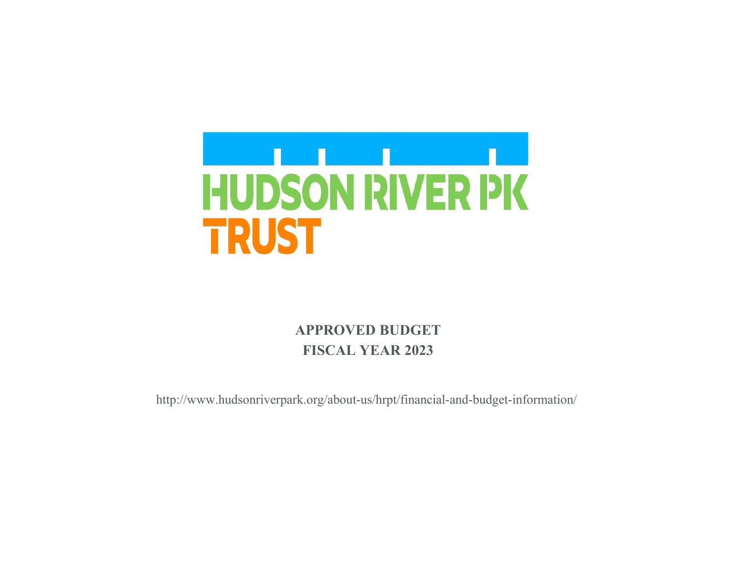

# **APPROVED BUDGET FISCAL YEAR 2023**

http://www.hudsonriverpark.org/about-us/hrpt/financial-and-budget-information/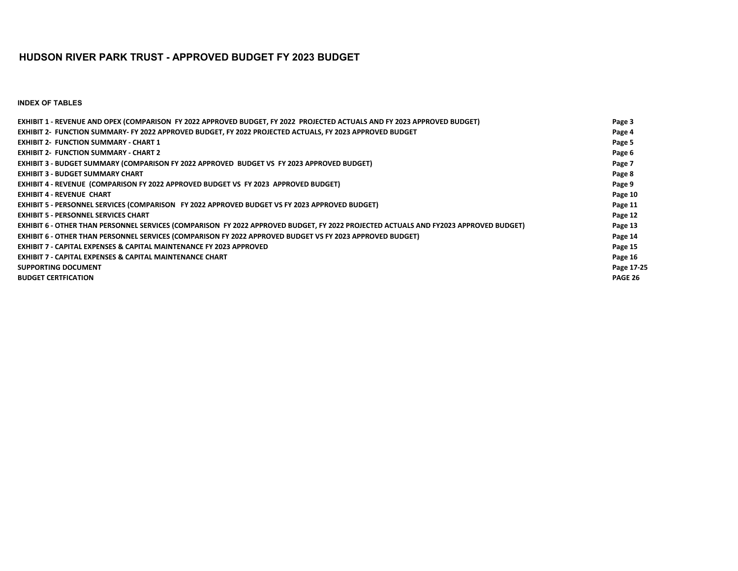#### **HUDSON RIVER PARK TRUST - APPROVED BUDGET FY 2023 BUDGET**

**INDEX OF TABLES**

| EXHIBIT 1 - REVENUE AND OPEX (COMPARISON FY 2022 APPROVED BUDGET, FY 2022 PROJECTED ACTUALS AND FY 2023 APPROVED BUDGET)             | Page 3     |
|--------------------------------------------------------------------------------------------------------------------------------------|------------|
| EXHIBIT 2- FUNCTION SUMMARY- FY 2022 APPROVED BUDGET, FY 2022 PROJECTED ACTUALS, FY 2023 APPROVED BUDGET                             | Page 4     |
| <b>EXHIBIT 2- FUNCTION SUMMARY - CHART 1</b>                                                                                         | Page 5     |
| <b>EXHIBIT 2- FUNCTION SUMMARY - CHART 2</b>                                                                                         | Page 6     |
| <b>EXHIBIT 3 - BUDGET SUMMARY (COMPARISON FY 2022 APPROVED BUDGET VS FY 2023 APPROVED BUDGET)</b>                                    | Page 7     |
| <b>EXHIBIT 3 - BUDGET SUMMARY CHART</b>                                                                                              | Page 8     |
| EXHIBIT 4 - REVENUE (COMPARISON FY 2022 APPROVED BUDGET VS FY 2023 APPROVED BUDGET)                                                  | Page 9     |
| <b>EXHIBIT 4 - REVENUE CHART</b>                                                                                                     | Page 10    |
| <b>EXHIBIT 5 - PERSONNEL SERVICES (COMPARISON FY 2022 APPROVED BUDGET VS FY 2023 APPROVED BUDGET)</b>                                | Page 11    |
| <b>EXHIBIT 5 - PERSONNEL SERVICES CHART</b>                                                                                          | Page 12    |
| EXHIBIT 6 - OTHER THAN PERSONNEL SERVICES (COMPARISON FY 2022 APPROVED BUDGET, FY 2022 PROJECTED ACTUALS AND FY2023 APPROVED BUDGET) | Page 13    |
| <b>EXHIBIT 6 - OTHER THAN PERSONNEL SERVICES (COMPARISON FY 2022 APPROVED BUDGET VS FY 2023 APPROVED BUDGET)</b>                     | Page 14    |
| <b>EXHIBIT 7 - CAPITAL EXPENSES &amp; CAPITAL MAINTENANCE FY 2023 APPROVED</b>                                                       | Page 15    |
| <b>EXHIBIT 7 - CAPITAL EXPENSES &amp; CAPITAL MAINTENANCE CHART</b>                                                                  | Page 16    |
| <b>SUPPORTING DOCUMENT</b>                                                                                                           | Page 17-25 |
| <b>BUDGET CERTFICATION</b>                                                                                                           | PAGE 26    |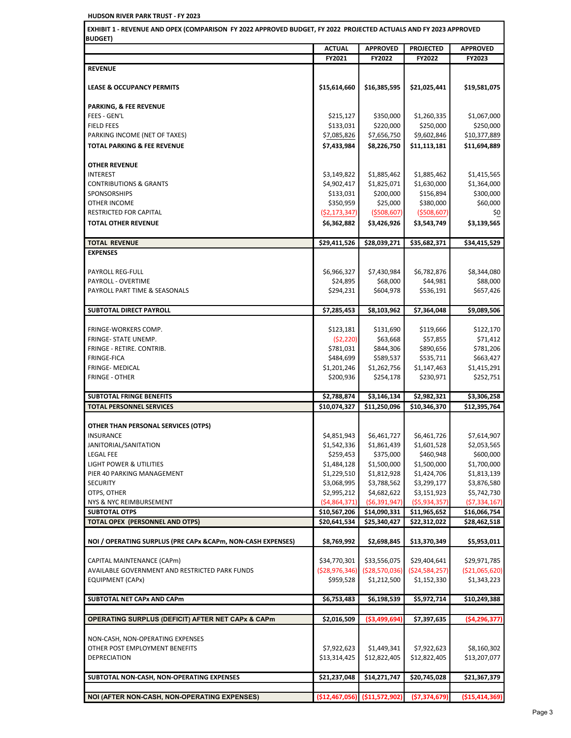| EXHIBIT 1 - REVENUE AND OPEX (COMPARISON FY 2022 APPROVED BUDGET, FY 2022 PROJECTED ACTUALS AND FY 2023 APPROVED                                                                                                                                                                                                                                                                                                                                                                                           |                          |                                                    |                                |                                                                                                                                       |
|------------------------------------------------------------------------------------------------------------------------------------------------------------------------------------------------------------------------------------------------------------------------------------------------------------------------------------------------------------------------------------------------------------------------------------------------------------------------------------------------------------|--------------------------|----------------------------------------------------|--------------------------------|---------------------------------------------------------------------------------------------------------------------------------------|
| <b>BUDGET)</b>                                                                                                                                                                                                                                                                                                                                                                                                                                                                                             | <b>ACTUAL</b>            | <b>APPROVED</b>                                    | <b>PROJECTED</b>               |                                                                                                                                       |
|                                                                                                                                                                                                                                                                                                                                                                                                                                                                                                            | FY2021                   | FY2022                                             | FY2022                         | <b>APPROVED</b><br>FY2023                                                                                                             |
| <b>REVENUE</b>                                                                                                                                                                                                                                                                                                                                                                                                                                                                                             |                          |                                                    |                                |                                                                                                                                       |
|                                                                                                                                                                                                                                                                                                                                                                                                                                                                                                            |                          |                                                    |                                |                                                                                                                                       |
| <b>LEASE &amp; OCCUPANCY PERMITS</b>                                                                                                                                                                                                                                                                                                                                                                                                                                                                       | \$15,614,660             | \$16,385,595                                       | \$21,025,441                   | \$19,581,075                                                                                                                          |
| PARKING, & FEE REVENUE                                                                                                                                                                                                                                                                                                                                                                                                                                                                                     |                          |                                                    |                                |                                                                                                                                       |
| FEES - GEN'L                                                                                                                                                                                                                                                                                                                                                                                                                                                                                               | \$215,127                | \$350,000                                          | \$1,260,335                    | \$1,067,000                                                                                                                           |
| <b>FIELD FEES</b>                                                                                                                                                                                                                                                                                                                                                                                                                                                                                          | \$133,031                | \$220,000                                          | \$250,000                      | \$250,000                                                                                                                             |
| PARKING INCOME (NET OF TAXES)                                                                                                                                                                                                                                                                                                                                                                                                                                                                              | \$7,085,826              | \$7,656,750                                        | \$9,602,846                    | \$10,377,889                                                                                                                          |
| <b>TOTAL PARKING &amp; FEE REVENUE</b>                                                                                                                                                                                                                                                                                                                                                                                                                                                                     | \$7,433,984              | \$8,226,750                                        | \$11,113,181                   | \$11,694,889                                                                                                                          |
| <b>OTHER REVENUE</b>                                                                                                                                                                                                                                                                                                                                                                                                                                                                                       |                          |                                                    |                                |                                                                                                                                       |
| <b>INTEREST</b>                                                                                                                                                                                                                                                                                                                                                                                                                                                                                            | \$3,149,822              | \$1,885,462                                        | \$1,885,462                    | \$1,415,565                                                                                                                           |
| <b>CONTRIBUTIONS &amp; GRANTS</b>                                                                                                                                                                                                                                                                                                                                                                                                                                                                          | \$4,902,417              | \$1,825,071                                        | \$1,630,000                    | \$1,364,000                                                                                                                           |
| SPONSORSHIPS                                                                                                                                                                                                                                                                                                                                                                                                                                                                                               | \$133,031                | \$200,000                                          | \$156,894                      | \$300,000                                                                                                                             |
| OTHER INCOME                                                                                                                                                                                                                                                                                                                                                                                                                                                                                               | \$350,959                | \$25,000                                           | \$380,000                      | \$60,000                                                                                                                              |
| <b>RESTRICTED FOR CAPITAL</b>                                                                                                                                                                                                                                                                                                                                                                                                                                                                              | ( \$2,173,347)           | ( \$508,607)                                       | ( \$508, 607)                  | \$0                                                                                                                                   |
| <b>TOTAL OTHER REVENUE</b>                                                                                                                                                                                                                                                                                                                                                                                                                                                                                 | \$6,362,882              | \$3,426,926                                        | \$3,543,749                    | \$3,139,565                                                                                                                           |
| <b>TOTAL REVENUE</b>                                                                                                                                                                                                                                                                                                                                                                                                                                                                                       | \$29,411,526             | \$28,039,271                                       | \$35,682,371                   | \$34,415,529                                                                                                                          |
| <b>EXPENSES</b>                                                                                                                                                                                                                                                                                                                                                                                                                                                                                            |                          |                                                    |                                |                                                                                                                                       |
|                                                                                                                                                                                                                                                                                                                                                                                                                                                                                                            |                          |                                                    |                                |                                                                                                                                       |
| PAYROLL REG-FULL                                                                                                                                                                                                                                                                                                                                                                                                                                                                                           | \$6,966,327              | \$7,430,984                                        | \$6,782,876                    | \$8,344,080                                                                                                                           |
| PAYROLL - OVERTIME                                                                                                                                                                                                                                                                                                                                                                                                                                                                                         | \$24,895                 | \$68,000                                           | \$44,981                       | \$88,000                                                                                                                              |
| PAYROLL PART TIME & SEASONALS                                                                                                                                                                                                                                                                                                                                                                                                                                                                              | \$294,231                | \$604,978                                          | \$536,191                      | \$657,426                                                                                                                             |
| SUBTOTAL DIRECT PAYROLL                                                                                                                                                                                                                                                                                                                                                                                                                                                                                    | \$7,285,453              | \$8,103,962                                        | \$7,364,048                    | \$9,089,506                                                                                                                           |
| FRINGE-WORKERS COMP.                                                                                                                                                                                                                                                                                                                                                                                                                                                                                       | \$123,181                | \$131,690                                          | \$119,666                      | \$122,170                                                                                                                             |
| FRINGE- STATE UNEMP.                                                                                                                                                                                                                                                                                                                                                                                                                                                                                       | (52, 220)                | \$63,668                                           | \$57,855                       | \$71,412                                                                                                                              |
| FRINGE - RETIRE. CONTRIB.                                                                                                                                                                                                                                                                                                                                                                                                                                                                                  | \$781,031                | \$844,306                                          | \$890,656                      | \$781,206                                                                                                                             |
| <b>FRINGE-FICA</b>                                                                                                                                                                                                                                                                                                                                                                                                                                                                                         |                          | \$589,537                                          | \$535,711                      | \$663,427                                                                                                                             |
|                                                                                                                                                                                                                                                                                                                                                                                                                                                                                                            | \$484,699                |                                                    |                                |                                                                                                                                       |
|                                                                                                                                                                                                                                                                                                                                                                                                                                                                                                            | \$1,201,246              | \$1,262,756                                        | \$1,147,463                    |                                                                                                                                       |
|                                                                                                                                                                                                                                                                                                                                                                                                                                                                                                            | \$200,936                | \$254,178                                          | \$230,971                      |                                                                                                                                       |
| FRINGE- MEDICAL<br><b>FRINGE - OTHER</b><br><b>SUBTOTAL FRINGE BENEFITS</b>                                                                                                                                                                                                                                                                                                                                                                                                                                | \$2,788,874              | \$3,146,134                                        | \$2,982,321                    | \$1,415,291<br>\$252,751<br>\$3,306,258                                                                                               |
|                                                                                                                                                                                                                                                                                                                                                                                                                                                                                                            | \$10,074,327             | \$11,250,096                                       | \$10,346,370                   | \$12,395,764                                                                                                                          |
|                                                                                                                                                                                                                                                                                                                                                                                                                                                                                                            |                          |                                                    |                                |                                                                                                                                       |
|                                                                                                                                                                                                                                                                                                                                                                                                                                                                                                            |                          |                                                    |                                |                                                                                                                                       |
|                                                                                                                                                                                                                                                                                                                                                                                                                                                                                                            | \$4,851,943              | \$6,461,727                                        | \$6,461,726                    |                                                                                                                                       |
|                                                                                                                                                                                                                                                                                                                                                                                                                                                                                                            | \$1,542,336              | \$1,861,439                                        | \$1,601,528                    |                                                                                                                                       |
|                                                                                                                                                                                                                                                                                                                                                                                                                                                                                                            | \$259,453<br>\$1,484,128 | \$375,000<br>\$1,500,000                           | \$460,948<br>\$1,500,000       |                                                                                                                                       |
|                                                                                                                                                                                                                                                                                                                                                                                                                                                                                                            | \$1,229,510              | \$1,812,928                                        | \$1,424,706                    |                                                                                                                                       |
|                                                                                                                                                                                                                                                                                                                                                                                                                                                                                                            | \$3,068,995              | \$3,788,562                                        | \$3,299,177                    |                                                                                                                                       |
|                                                                                                                                                                                                                                                                                                                                                                                                                                                                                                            | \$2,995,212              | \$4,682,622                                        | \$3,151,923                    |                                                                                                                                       |
|                                                                                                                                                                                                                                                                                                                                                                                                                                                                                                            | (54,864,371)             | (56, 391, 947)                                     | ( \$5,934,357)                 |                                                                                                                                       |
|                                                                                                                                                                                                                                                                                                                                                                                                                                                                                                            | \$10,567,206             | \$14,090,331                                       | \$11,965,652                   | \$7,614,907<br>\$2,053,565<br>\$600,000<br>\$1,700,000<br>\$1,813,139<br>\$3,876,580<br>\$5,742,730<br>( \$7,334,167]<br>\$16,066,754 |
|                                                                                                                                                                                                                                                                                                                                                                                                                                                                                                            | \$20,641,534             | \$25,340,427                                       | \$22,312,022                   |                                                                                                                                       |
|                                                                                                                                                                                                                                                                                                                                                                                                                                                                                                            | \$8,769,992              | \$2,698,845                                        | \$13,370,349                   |                                                                                                                                       |
|                                                                                                                                                                                                                                                                                                                                                                                                                                                                                                            |                          |                                                    |                                |                                                                                                                                       |
|                                                                                                                                                                                                                                                                                                                                                                                                                                                                                                            | \$34,770,301             | \$33,556,075                                       | \$29,404,641                   | \$28,462,518<br>\$5,953,011<br>\$29,971,785                                                                                           |
| <b>TOTAL PERSONNEL SERVICES</b><br>OTHER THAN PERSONAL SERVICES (OTPS)<br><b>INSURANCE</b><br>JANITORIAL/SANITATION<br><b>LEGAL FEE</b><br>LIGHT POWER & UTILITIES<br>PIER 40 PARKING MANAGEMENT<br><b>SECURITY</b><br>OTPS, OTHER<br>NYS & NYC REIMBURSEMENT<br><b>SUBTOTAL OTPS</b><br><b>TOTAL OPEX (PERSONNEL AND OTPS)</b><br>NOI / OPERATING SURPLUS (PRE CAPx & CAPm, NON-CASH EXPENSES)<br>CAPITAL MAINTENANCE (CAPm)<br>AVAILABLE GOVERNMENT AND RESTRICTED PARK FUNDS<br><b>EQUIPMENT (CAPx)</b> | \$959,528                | $(528, 976, 346)$ $(528, 570, 036)$<br>\$1,212,500 | ( \$24,584,257)<br>\$1,152,330 | (\$21,065,620)<br>\$1,343,223                                                                                                         |

**SUBTOTAL NET CAPx AND CAPm \$6,753,483 \$6,198,539 \$5,972,714 \$10,249,388**

**OPERATING SURPLUS (DEFICIT) AFTER NET CAPx & CAPm \$2,016,509 (\$3,499,694) \$7,397,635 (\$4,296,377)**

OTHER POST EMPLOYMENT BENEFITS **1.449,341** \$7,922,623 \$1,449,341 \$7,922,623 \$8,160,302 DEPRECIATION \$13,207,077 \$13,314,425 \$13,314,425 \$12,822,405 \$12,822,405 \$13,207,077

**NOI (AFTER NON-CASH, NON-OPERATING EXPENSES) (\$12,467,056) (\$11,572,902) (\$7,374,679) (\$15,414,369)**

NON-CASH, NON-OPERATING EXPENSES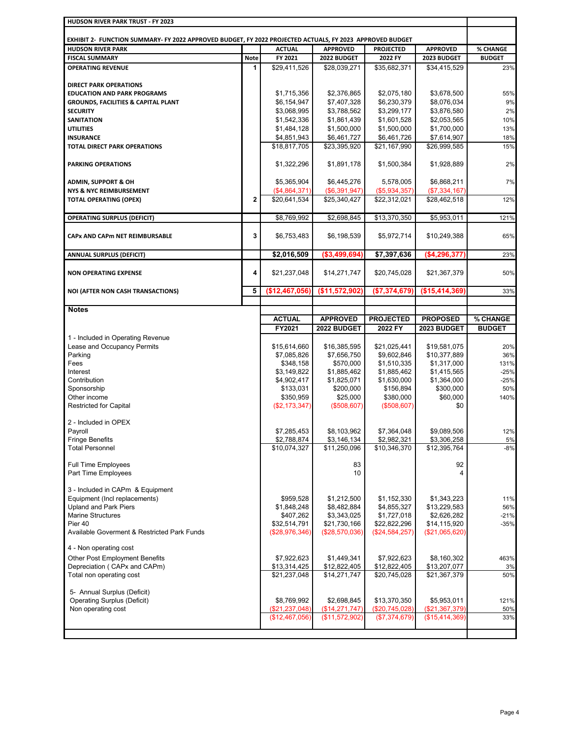| HUDSON RIVER PARK TRUST - FY 2023                                                                                                    |              |                            |                            |                            |                            |               |
|--------------------------------------------------------------------------------------------------------------------------------------|--------------|----------------------------|----------------------------|----------------------------|----------------------------|---------------|
|                                                                                                                                      |              |                            |                            |                            |                            |               |
| EXHIBIT 2- FUNCTION SUMMARY- FY 2022 APPROVED BUDGET, FY 2022 PROJECTED ACTUALS, FY 2023 APPROVED BUDGET<br><b>HUDSON RIVER PARK</b> |              | <b>ACTUAL</b>              | <b>APPROVED</b>            | <b>PROJECTED</b>           | <b>APPROVED</b>            | % CHANGE      |
| <b>FISCAL SUMMARY</b>                                                                                                                | <b>Note</b>  | FY 2021                    | 2022 BUDGET                | 2022 FY                    | 2023 BUDGET                | <b>BUDGET</b> |
| <b>OPERATING REVENUE</b>                                                                                                             | 1            | \$29,411,526               | \$28,039,271               | \$35,682,371               | \$34,415,529               | 23%           |
|                                                                                                                                      |              |                            |                            |                            |                            |               |
| <b>DIRECT PARK OPERATIONS</b>                                                                                                        |              |                            |                            |                            |                            |               |
| <b>EDUCATION AND PARK PROGRAMS</b>                                                                                                   |              | \$1,715,356                | \$2,376,865                | \$2,075,180                | \$3,678,500                | 55%           |
| <b>GROUNDS, FACILITIES &amp; CAPITAL PLANT</b>                                                                                       |              | \$6,154,947                | \$7,407,328                | \$6,230,379                | \$8,076,034                | 9%            |
| <b>SECURITY</b>                                                                                                                      |              | \$3,068,995                | \$3,788,562                | \$3,299,177                | \$3,876,580                | 2%            |
| <b>SANITATION</b><br><b>UTILITIES</b>                                                                                                |              | \$1,542,336<br>\$1,484,128 | \$1,861,439<br>\$1,500,000 | \$1,601,528<br>\$1,500,000 | \$2,053,565<br>\$1,700,000 | 10%           |
| <b>INSURANCE</b>                                                                                                                     |              | \$4,851,943                | \$6,461,727                | \$6,461,726                | \$7,614,907                | 13%<br>18%    |
| <b>TOTAL DIRECT PARK OPERATIONS</b>                                                                                                  |              | \$18,817,705               | \$23,395,920               | \$21,167,990               | \$26,999,585               | 15%           |
|                                                                                                                                      |              |                            |                            |                            |                            |               |
| <b>PARKING OPERATIONS</b>                                                                                                            |              | \$1,322,296                | \$1,891,178                | \$1,500,384                | \$1,928,889                | 2%            |
|                                                                                                                                      |              |                            |                            |                            |                            |               |
| <b>ADMIN, SUPPORT &amp; OH</b>                                                                                                       |              | \$5,365,904                | \$6,445,276                | 5,578,005                  | \$6,868,211                | 7%            |
| <b>NYS &amp; NYC REIMBURSEMENT</b>                                                                                                   |              | (\$4,864,371)              | (\$6,391,947)              | ( \$5,934,357)             | (\$7,334,167)              |               |
| <b>TOTAL OPERATING (OPEX)</b>                                                                                                        | $\mathbf{2}$ | \$20,641,534               | \$25,340,427               | \$22.312.021               | \$28,462,518               | 12%           |
|                                                                                                                                      |              |                            |                            |                            |                            |               |
| <b>OPERATING SURPLUS (DEFICIT)</b>                                                                                                   |              | \$8,769,992                | \$2,698,845                | \$13,370,350               | \$5,953,011                | 121%          |
|                                                                                                                                      |              |                            |                            |                            |                            |               |
| <b>CAPx AND CAPm NET REIMBURSABLE</b>                                                                                                | 3            | \$6,753,483                | \$6,198,539                | \$5,972,714                | \$10,249,388               | 65%           |
|                                                                                                                                      |              |                            |                            |                            |                            |               |
| <b>ANNUAL SURPLUS (DEFICIT)</b>                                                                                                      |              | \$2,016,509                | (\$3,499,694)              | \$7,397,636                | (\$4,296,377)              | 23%           |
| <b>NON OPERATING EXPENSE</b>                                                                                                         | 4            | \$21,237,048               | \$14,271,747               | \$20,745,028               | \$21,367,379               | 50%           |
|                                                                                                                                      |              |                            |                            |                            |                            |               |
| <b>NOI (AFTER NON CASH TRANSACTIONS)</b>                                                                                             | 5            | (\$12,467,056)             | (\$11,572,902              | (\$7,374,679)              | (\$15,414,369)             | 33%           |
|                                                                                                                                      |              |                            |                            |                            |                            |               |
| <b>Notes</b>                                                                                                                         |              |                            |                            |                            |                            |               |
|                                                                                                                                      |              | <b>ACTUAL</b>              | <b>APPROVED</b>            | <b>PROJECTED</b>           | <b>PROPOSED</b>            | % CHANGE      |
|                                                                                                                                      |              | FY2021                     | 2022 BUDGET                | 2022 FY                    | 2023 BUDGET                | <b>BUDGET</b> |
| 1 - Included in Operating Revenue                                                                                                    |              |                            |                            |                            |                            |               |
| Lease and Occupancy Permits                                                                                                          |              | \$15,614,660               | \$16,385,595               | \$21,025,441               | \$19,581,075               | 20%           |
| Parking                                                                                                                              |              | \$7,085,826                | \$7,656,750                | \$9,602,846                | \$10,377,889               | 36%           |
| Fees                                                                                                                                 |              | \$348,158                  | \$570,000                  | \$1,510,335                | \$1,317,000                | 131%          |
| Interest                                                                                                                             |              | \$3,149,822                | \$1,885,462                | \$1,885,462                | \$1,415,565                | $-25%$        |
| Contribution                                                                                                                         |              | \$4,902,417                | \$1,825,071                | \$1,630,000                | \$1,364,000<br>\$300,000   | $-25%$        |
| Sponsorship<br>Other income                                                                                                          |              | \$133,031<br>\$350,959     | \$200,000<br>\$25,000      | \$156,894<br>\$380,000     | \$60,000                   | 50%<br>140%   |
| <b>Restricted for Capital</b>                                                                                                        |              | (\$2,173,347)              | (\$508,607)                | (\$508,607)                | \$0                        |               |
|                                                                                                                                      |              |                            |                            |                            |                            |               |
| 2 - Included in OPEX                                                                                                                 |              |                            |                            |                            |                            |               |
| Payroll                                                                                                                              |              | \$7,285,453                | \$8,103,962                | \$7,364,048                | \$9,089,506                | 12%           |
| <b>Fringe Benefits</b>                                                                                                               |              | \$2,788,874                | \$3,146,134                | \$2,982,321                | \$3,306,258                | 5%            |
| <b>Total Personnel</b>                                                                                                               |              | \$10,074,327               | \$11,250,096               | \$10,346,370               | \$12,395,764               | $-8%$         |
|                                                                                                                                      |              |                            |                            |                            |                            |               |
| <b>Full Time Employees</b><br>Part Time Employees                                                                                    |              |                            | 83<br>10                   |                            | 92<br>4                    |               |
|                                                                                                                                      |              |                            |                            |                            |                            |               |
| 3 - Included in CAPm & Equipment                                                                                                     |              |                            |                            |                            |                            |               |
| Equipment (Incl replacements)                                                                                                        |              | \$959,528                  | \$1,212,500                | \$1,152,330                | \$1,343,223                | 11%           |
| <b>Upland and Park Piers</b>                                                                                                         |              | \$1,848,248                | \$8,482,884                | \$4,855,327                | \$13,229,583               | 56%           |
| <b>Marine Structures</b>                                                                                                             |              | \$407,262                  | \$3,343,025                | \$1,727,018                | \$2,626,282                | $-21%$        |
| Pier 40                                                                                                                              |              | \$32,514,791               | \$21,730,166               | \$22,822,296               | \$14,115,920               | $-35%$        |
| Available Goverment & Restricted Park Funds                                                                                          |              | (\$28,976,346)             | (\$28,570,036)             | (\$24,584,257)             | (\$21,065,620)             |               |
| 4 - Non operating cost                                                                                                               |              |                            |                            |                            |                            |               |
| <b>Other Post Employment Benefits</b>                                                                                                |              | \$7,922,623                | \$1,449,341                | \$7,922,623                | \$8,160,302                | 463%          |
| Depreciation (CAPx and CAPm)                                                                                                         |              | \$13,314,425               | \$12,822,405               | \$12,822,405               | \$13,207,077               | 3%            |
| Total non operating cost                                                                                                             |              | \$21,237,048               | \$14,271,747               | \$20,745,028               | \$21,367,379               | 50%           |
|                                                                                                                                      |              |                            |                            |                            |                            |               |
| 5- Annual Surplus (Deficit)                                                                                                          |              |                            |                            |                            |                            |               |
| <b>Operating Surplus (Deficit)</b>                                                                                                   |              | \$8,769,992                | \$2,698,845                | \$13,370,350               | \$5,953,011                | 121%          |
| Non operating cost                                                                                                                   |              | (\$21,237,048)             | (\$14,271,747)             | (\$20,745,028)             | (\$21,367,379)             | 50%           |
|                                                                                                                                      |              | (\$12,467,056)             | (\$11,572,902)             | (\$7,374,679)              | (\$15,414,369)             | 33%           |
|                                                                                                                                      |              |                            |                            |                            |                            |               |
|                                                                                                                                      |              |                            |                            |                            |                            |               |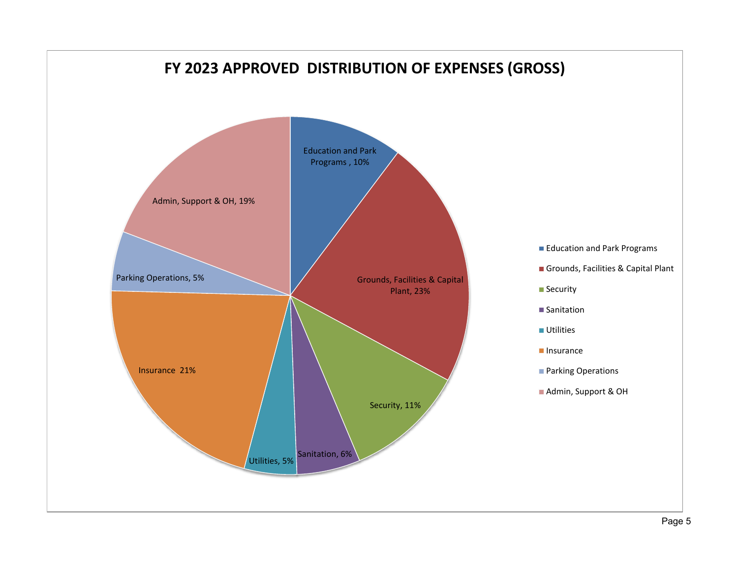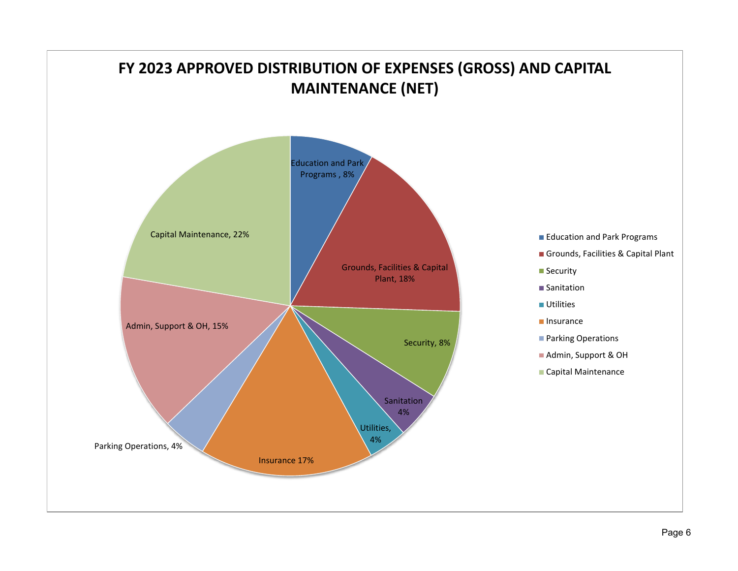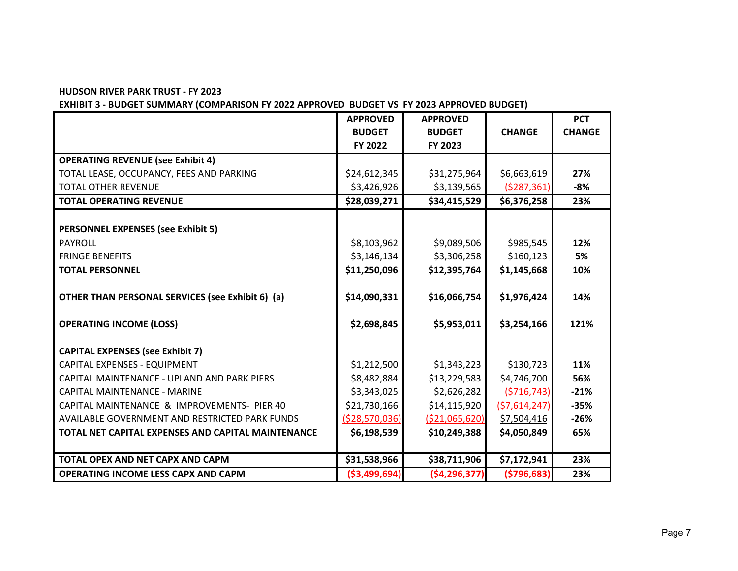**EXHIBIT 3 - BUDGET SUMMARY (COMPARISON FY 2022 APPROVED BUDGET VS FY 2023 APPROVED BUDGET)**

|                                                    | <b>APPROVED</b> | <b>APPROVED</b>  |               | <b>PCT</b>    |
|----------------------------------------------------|-----------------|------------------|---------------|---------------|
|                                                    | <b>BUDGET</b>   | <b>BUDGET</b>    | <b>CHANGE</b> | <b>CHANGE</b> |
|                                                    | FY 2022         | FY 2023          |               |               |
| <b>OPERATING REVENUE (see Exhibit 4)</b>           |                 |                  |               |               |
| TOTAL LEASE, OCCUPANCY, FEES AND PARKING           | \$24,612,345    | \$31,275,964     | \$6,663,619   | 27%           |
| <b>TOTAL OTHER REVENUE</b>                         | \$3,426,926     | \$3,139,565      | (5287, 361)   | $-8%$         |
| <b>TOTAL OPERATING REVENUE</b>                     | \$28,039,271    | \$34,415,529     | \$6,376,258   | 23%           |
|                                                    |                 |                  |               |               |
| <b>PERSONNEL EXPENSES (see Exhibit 5)</b>          |                 |                  |               |               |
| <b>PAYROLL</b>                                     | \$8,103,962     | \$9,089,506      | \$985,545     | 12%           |
| <b>FRINGE BENEFITS</b>                             | \$3,146,134     | \$3,306,258      | \$160,123     | <u>5%</u>     |
| <b>TOTAL PERSONNEL</b>                             | \$11,250,096    | \$12,395,764     | \$1,145,668   | 10%           |
|                                                    |                 |                  |               |               |
| OTHER THAN PERSONAL SERVICES (see Exhibit 6) (a)   | \$14,090,331    | \$16,066,754     | \$1,976,424   | 14%           |
| <b>OPERATING INCOME (LOSS)</b>                     | \$2,698,845     | \$5,953,011      | \$3,254,166   | 121%          |
| <b>CAPITAL EXPENSES (see Exhibit 7)</b>            |                 |                  |               |               |
| CAPITAL EXPENSES - EQUIPMENT                       | \$1,212,500     | \$1,343,223      | \$130,723     | 11%           |
| CAPITAL MAINTENANCE - UPLAND AND PARK PIERS        | \$8,482,884     | \$13,229,583     | \$4,746,700   | 56%           |
| CAPITAL MAINTENANCE - MARINE                       | \$3,343,025     | \$2,626,282      | (5716, 743)   | $-21%$        |
| CAPITAL MAINTENANCE & IMPROVEMENTS- PIER 40        | \$21,730,166    | \$14,115,920     | (57,614,247)  | $-35%$        |
| AVAILABLE GOVERNMENT AND RESTRICTED PARK FUNDS     | ( \$28,570,036) | ( \$21,065,620)  | \$7,504,416   | $-26%$        |
| TOTAL NET CAPITAL EXPENSES AND CAPITAL MAINTENANCE | \$6,198,539     | \$10,249,388     | \$4,050,849   | 65%           |
|                                                    |                 |                  |               |               |
| TOTAL OPEX AND NET CAPX AND CAPM                   | \$31,538,966    | \$38,711,906     | \$7,172,941   | 23%           |
| <b>OPERATING INCOME LESS CAPX AND CAPM</b>         | ( \$3,499,694)  | ( \$4, 296, 377) | ( \$796, 683) | 23%           |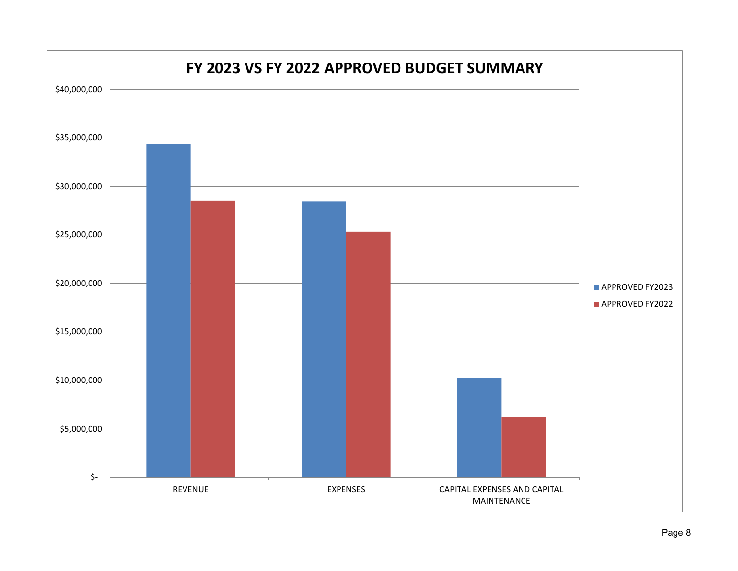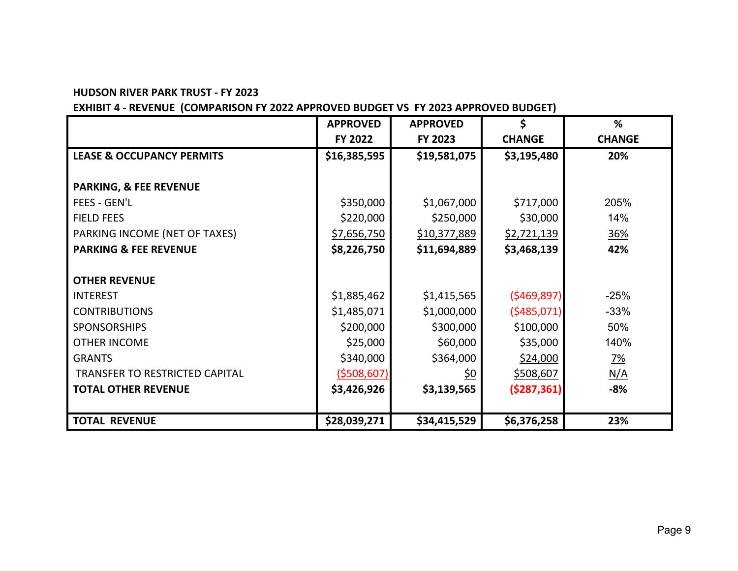## **EXHIBIT 4 - REVENUE (COMPARISON FY 2022 APPROVED BUDGET VS FY 2023 APPROVED BUDGET)**

|                                      | <b>APPROVED</b> | <b>APPROVED</b> | \$               | %             |
|--------------------------------------|-----------------|-----------------|------------------|---------------|
|                                      | FY 2022         | FY 2023         | <b>CHANGE</b>    | <b>CHANGE</b> |
| <b>LEASE &amp; OCCUPANCY PERMITS</b> | \$16,385,595    | \$19,581,075    | \$3,195,480      | 20%           |
|                                      |                 |                 |                  |               |
| <b>PARKING, &amp; FEE REVENUE</b>    |                 |                 |                  |               |
| FEES - GEN'L                         | \$350,000       | \$1,067,000     | \$717,000        | 205%          |
| <b>FIELD FEES</b>                    | \$220,000       | \$250,000       | \$30,000         | 14%           |
| PARKING INCOME (NET OF TAXES)        | \$7,656,750     | \$10,377,889    | \$2,721,139      | 36%           |
| <b>PARKING &amp; FEE REVENUE</b>     | \$8,226,750     | \$11,694,889    | \$3,468,139      | 42%           |
|                                      |                 |                 |                  |               |
| <b>OTHER REVENUE</b>                 |                 |                 |                  |               |
| <b>INTEREST</b>                      | \$1,885,462     | \$1,415,565     | (5469, 897)      | $-25%$        |
| <b>CONTRIBUTIONS</b>                 | \$1,485,071     | \$1,000,000     | (5485,071)       | $-33%$        |
| <b>SPONSORSHIPS</b>                  | \$200,000       | \$300,000       | \$100,000        | 50%           |
| <b>OTHER INCOME</b>                  | \$25,000        | \$60,000        | \$35,000         | 140%          |
| <b>GRANTS</b>                        | \$340,000       | \$364,000       | \$24,000         | <u>7%</u>     |
| TRANSFER TO RESTRICTED CAPITAL       | (5508, 607)     | <u>\$0</u>      | <u>\$508,607</u> | N/A           |
| <b>TOTAL OTHER REVENUE</b>           | \$3,426,926     | \$3,139,565     | (5287, 361)      | $-8%$         |
|                                      |                 |                 |                  |               |
| <b>TOTAL REVENUE</b>                 | \$28,039,271    | \$34,415,529    | \$6,376,258      | 23%           |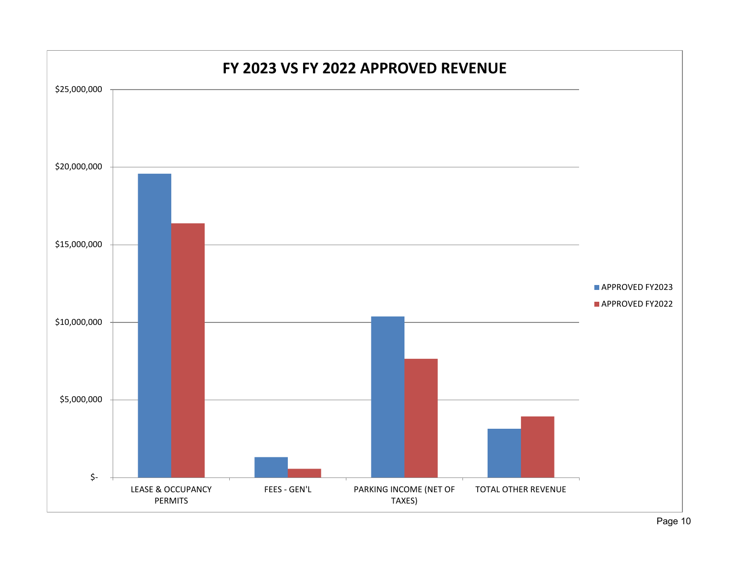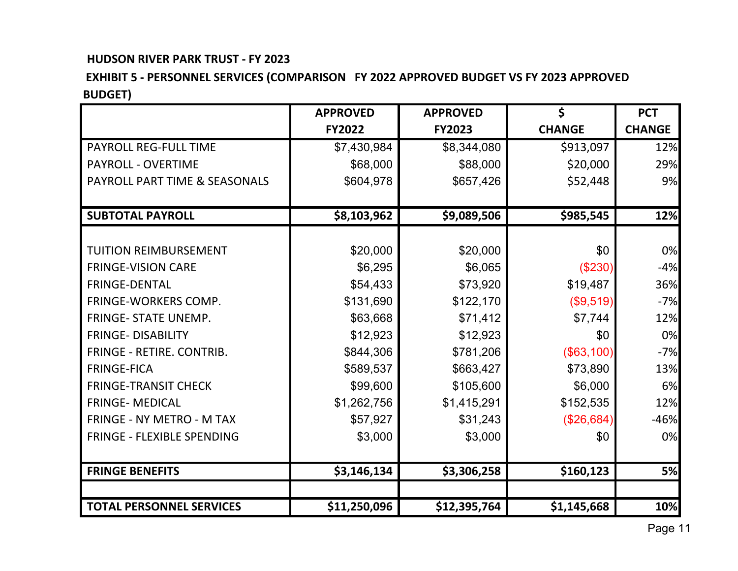## **EXHIBIT 5 - PERSONNEL SERVICES (COMPARISON FY 2022 APPROVED BUDGET VS FY 2023 APPROVED BUDGET)**

|                                   | <b>APPROVED</b> | <b>APPROVED</b> | \$            | <b>PCT</b>    |
|-----------------------------------|-----------------|-----------------|---------------|---------------|
|                                   | <b>FY2022</b>   | <b>FY2023</b>   | <b>CHANGE</b> | <b>CHANGE</b> |
| <b>PAYROLL REG-FULL TIME</b>      | \$7,430,984     | \$8,344,080     | \$913,097     | 12%           |
| <b>PAYROLL - OVERTIME</b>         | \$68,000        | \$88,000        | \$20,000      | 29%           |
| PAYROLL PART TIME & SEASONALS     | \$604,978       | \$657,426       | \$52,448      | 9%            |
| <b>SUBTOTAL PAYROLL</b>           | \$8,103,962     | \$9,089,506     | \$985,545     | 12%           |
|                                   |                 |                 |               |               |
| <b>TUITION REIMBURSEMENT</b>      | \$20,000        | \$20,000        | \$0           | 0%            |
| <b>FRINGE-VISION CARE</b>         | \$6,295         | \$6,065         | (\$230)       | $-4%$         |
| <b>FRINGE-DENTAL</b>              | \$54,433        | \$73,920        | \$19,487      | 36%           |
| FRINGE-WORKERS COMP.              | \$131,690       | \$122,170       | (\$9,519)     | $-7%$         |
| <b>FRINGE- STATE UNEMP.</b>       | \$63,668        | \$71,412        | \$7,744       | 12%           |
| <b>FRINGE-DISABILITY</b>          | \$12,923        | \$12,923        | \$0           | 0%            |
| <b>FRINGE - RETIRE, CONTRIB.</b>  | \$844,306       | \$781,206       | (\$63,100)    | $-7%$         |
| <b>FRINGE-FICA</b>                | \$589,537       | \$663,427       | \$73,890      | 13%           |
| <b>FRINGE-TRANSIT CHECK</b>       | \$99,600        | \$105,600       | \$6,000       | 6%            |
| <b>FRINGE- MEDICAL</b>            | \$1,262,756     | \$1,415,291     | \$152,535     | 12%           |
| <b>FRINGE - NY METRO - M TAX</b>  | \$57,927        | \$31,243        | (\$26,684)    | $-46%$        |
| <b>FRINGE - FLEXIBLE SPENDING</b> | \$3,000         | \$3,000         | \$0           | 0%            |
|                                   |                 |                 |               |               |
| <b>FRINGE BENEFITS</b>            | \$3,146,134     | \$3,306,258     | \$160,123     | 5%            |
|                                   |                 |                 |               |               |
| <b>TOTAL PERSONNEL SERVICES</b>   | \$11,250,096    | \$12,395,764    | \$1,145,668   | 10%           |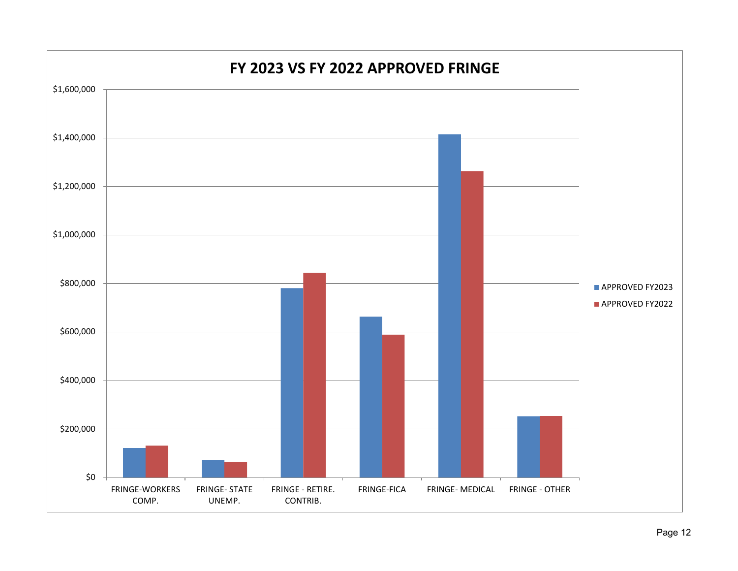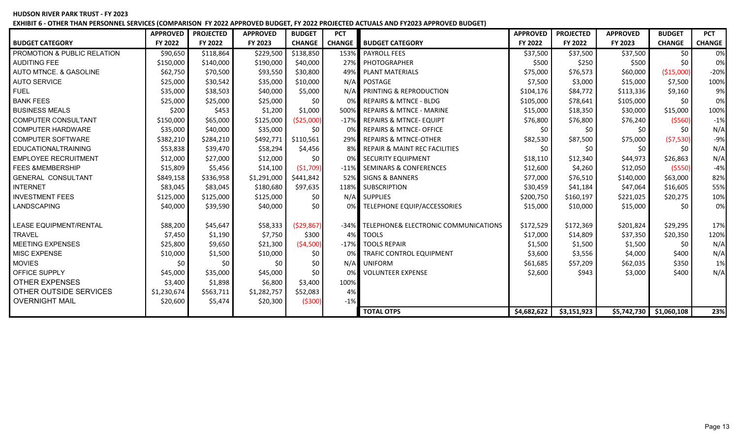**EXHIBIT 6 - OTHER THAN PERSONNEL SERVICES (COMPARISON FY 2022 APPROVED BUDGET, FY 2022 PROJECTED ACTUALS AND FY2023 APPROVED BUDGET)**

|                               | <b>APPROVED</b> | <b>PROJECTED</b> | <b>APPROVED</b> | <b>BUDGET</b> | <b>PCT</b>    |                                                 | <b>APPROVED</b> | <b>PROJECTED</b> | <b>APPROVED</b> | <b>BUDGET</b>            | <b>PCT</b>    |
|-------------------------------|-----------------|------------------|-----------------|---------------|---------------|-------------------------------------------------|-----------------|------------------|-----------------|--------------------------|---------------|
| <b>BUDGET CATEGORY</b>        | FY 2022         | FY 2022          | FY 2023         | <b>CHANGE</b> | <b>CHANGE</b> | <b>BUDGET CATEGORY</b>                          | FY 2022         | FY 2022          | FY 2023         | <b>CHANGE</b>            | <b>CHANGE</b> |
| PROMOTION & PUBLIC RELATION   | \$90,650        | \$118,864        | \$229,500       | \$138,850     | 153%          | <b>PAYROLL FEES</b>                             | \$37,500        | \$37,500         | \$37,500        | \$0                      | 0%            |
| <b>AUDITING FEE</b>           | \$150,000       | \$140,000        | \$190,000       | \$40,000      |               | 27% PHOTOGRAPHER                                | \$500           | \$250            | \$500           | \$0                      | 0%            |
| AUTO MTNCE, & GASOLINE        | \$62,750        | \$70,500         | \$93,550        | \$30,800      |               | 49% PLANT MATERIALS                             | \$75,000        | \$76,573         | \$60,000        | ( \$15,000)              | $-20%$        |
| <b>AUTO SERVICE</b>           | \$25,000        | \$30,542         | \$35,000        | \$10,000      |               | N/A POSTAGE                                     | \$7,500         | \$3,000          | \$15,000        | \$7,500                  | 100%          |
| <b>FUEL</b>                   | \$35,000        | \$38,503         | \$40,000        | \$5,000       |               | N/A PRINTING & REPRODUCTION                     | \$104,176       | \$84,772         | \$113,336       | \$9,160                  | 9%            |
| <b>BANK FEES</b>              | \$25,000        | \$25,000         | \$25,000        | \$0           | 0% l          | <b>REPAIRS &amp; MTNCE - BLDG</b>               | \$105,000       | \$78,641         | \$105,000       | \$0                      | 0%            |
| <b>BUSINESS MEALS</b>         | \$200           | \$453            | \$1,200         | \$1,000       |               | 500% REPAIRS & MTNCE - MARINE                   | \$15,000        | \$18,350         | \$30,000        | \$15,000                 | 100%          |
| <b>COMPUTER CONSULTANT</b>    | \$150,000       | \$65,000         | \$125,000       | (\$25,000)    |               | -17% REPAIRS & MTNCE-EQUIPT                     | \$76,800        | \$76,800         | \$76,240        | ( \$560)                 | $-1\%$        |
| <b>COMPUTER HARDWARE</b>      | \$35,000        | \$40,000         | \$35,000        | \$0           | 0%            | <b>REPAIRS &amp; MTNCE- OFFICE</b>              | \$0             | \$0              | S0              | \$0                      | N/A           |
| <b>COMPUTER SOFTWARE</b>      | \$382,210       | \$284,210        | \$492,771       | \$110,561     |               | 29% REPAIRS & MTNCE-OTHER                       | \$82,530        | \$87,500         | \$75,000        | (57,530)                 | $-9%$         |
| <b>EDUCATIONALTRAINING</b>    | \$53,838        | \$39,470         | \$58,294        | \$4,456       |               | REPAIR & MAINT REC FACILITIES                   | \$0             | \$0              | \$0             | \$0                      | N/A           |
| <b>EMPLOYEE RECRUITMENT</b>   | \$12,000        | \$27,000         | \$12,000        | \$0           | 0%            | <b>SECURITY EQUIPMENT</b>                       | \$18,110        | \$12,340         | \$44,973        | \$26,863                 | N/A           |
| <b>FEES &amp;MEMBERSHIP</b>   | \$15,809        | \$5,456          | \$14,100        | (\$1,709)     |               | -11% SEMINARS & CONFERENCES                     | \$12,600        | \$4,260          | \$12,050        | ( \$550)                 | $-4%$         |
| <b>GENERAL CONSULTANT</b>     | \$849,158       | \$336,958        | \$1,291,000     | \$441,842     | 52%           | <b>SIGNS &amp; BANNERS</b>                      | \$77,000        | \$76,510         | \$140,000       | \$63,000                 | 82%           |
| <b>INTERNET</b>               | \$83,045        | \$83,045         | \$180,680       | \$97,635      |               | 118% SUBSCRIPTION                               | \$30,459        | \$41,184         | \$47,064        | \$16,605                 | 55%           |
| <b>INVESTMENT FEES</b>        | \$125,000       | \$125,000        | \$125,000       | \$0           |               | N/A SUPPLIES                                    | \$200,750       | \$160,197        | \$221,025       | \$20,275                 | 10%           |
| <b>LANDSCAPING</b>            | \$40,000        | \$39,590         | \$40,000        | \$0           | 0%            | TELEPHONE EQUIP/ACCESSORIES                     | \$15,000        | \$10,000         | \$15,000        | \$0                      | 0%            |
| <b>LEASE EQUIPMENT/RENTAL</b> | \$88,200        | \$45,647         | \$58,333        | (529, 867)    | $-34%$        | <b>TELEPHONE&amp; ELECTRONIC COMMUNICATIONS</b> | \$172,529       | \$172,369        | \$201,824       | \$29,295                 | 17%           |
| <b>TRAVEL</b>                 | \$7,450         | \$1,190          | \$7,750         | \$300         | 4%            | <b>TOOLS</b>                                    | \$17,000        | \$14,809         | \$37,350        | \$20,350                 | 120%          |
| <b>MEETING EXPENSES</b>       | \$25,800        | \$9,650          | \$21,300        | (54,500)      | $-17%$        | <b>TOOLS REPAIR</b>                             | \$1,500         | \$1,500          | \$1,500         | \$0                      | N/A           |
| <b>MISC EXPENSE</b>           | \$10,000        | \$1,500          | \$10,000        | \$0           | 0%            | <b>TRAFIC CONTROL EQUIPMENT</b>                 | \$3,600         | \$3,556          | \$4,000         | \$400                    | N/A           |
| <b>MOVIES</b>                 | \$0             | \$0              | \$0             | \$0           |               | N/A UNIFORM                                     | \$61,685        | \$57,209         | \$62,035        | \$350                    | 1%            |
| OFFICE SUPPLY                 | \$45,000        | \$35,000         | \$45,000        | \$0           | 0%            | <b>VOLUNTEER EXPENSE</b>                        | \$2,600         | \$943            | \$3,000         | \$400                    | N/A           |
| <b>OTHER EXPENSES</b>         | \$3,400         | \$1,898          | \$6,800         | \$3,400       | 100%          |                                                 |                 |                  |                 |                          |               |
| OTHER OUTSIDE SERVICES        | \$1,230,674     | \$563,711        | \$1,282,757     | \$52,083      | 4%            |                                                 |                 |                  |                 |                          |               |
| <b>OVERNIGHT MAIL</b>         | \$20,600        | \$5,474          | \$20,300        | ( \$300)      | $-1%$         |                                                 |                 |                  |                 |                          |               |
|                               |                 |                  |                 |               |               | <b>TOTAL OTPS</b>                               | \$4,682,622     | \$3,151,923      |                 | $$5,742,730$ \$1,060,108 | 23%           |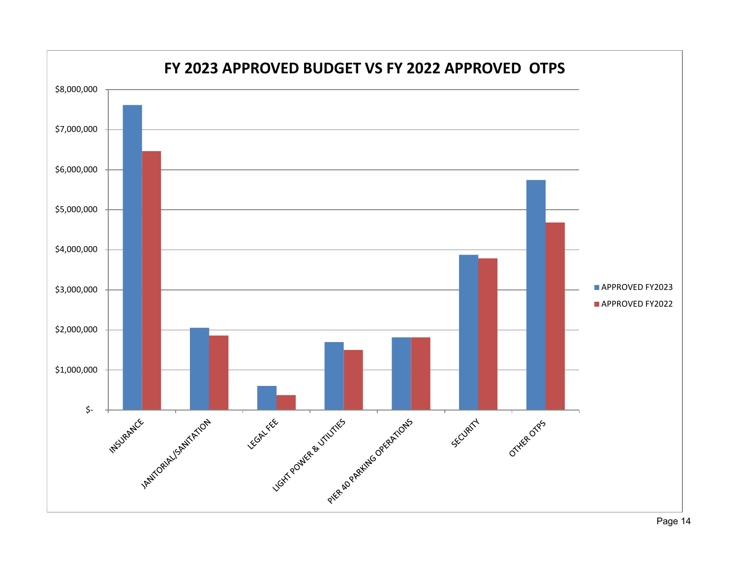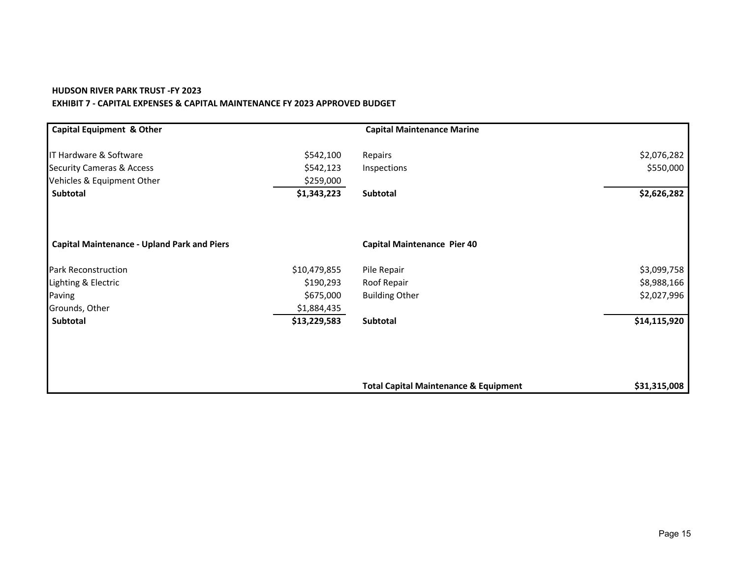#### **HUDSON RIVER PARK TRUST -FY 2023 EXHIBIT 7 - CAPITAL EXPENSES & CAPITAL MAINTENANCE FY 2023 APPROVED BUDGET**

| <b>Capital Equipment &amp; Other</b>               |              | <b>Capital Maintenance Marine</b>                |              |
|----------------------------------------------------|--------------|--------------------------------------------------|--------------|
| IT Hardware & Software                             | \$542,100    | Repairs                                          | \$2,076,282  |
| <b>Security Cameras &amp; Access</b>               | \$542,123    | Inspections                                      | \$550,000    |
| Vehicles & Equipment Other                         | \$259,000    |                                                  |              |
| Subtotal                                           | \$1,343,223  | Subtotal                                         | \$2,626,282  |
| <b>Capital Maintenance - Upland Park and Piers</b> |              | <b>Capital Maintenance Pier 40</b>               |              |
| <b>Park Reconstruction</b>                         | \$10,479,855 | Pile Repair                                      | \$3,099,758  |
| Lighting & Electric                                | \$190,293    | Roof Repair                                      | \$8,988,166  |
| Paving                                             | \$675,000    | <b>Building Other</b>                            | \$2,027,996  |
| Grounds, Other                                     | \$1,884,435  |                                                  |              |
| Subtotal                                           | \$13,229,583 | Subtotal                                         | \$14,115,920 |
|                                                    |              |                                                  |              |
|                                                    |              | <b>Total Capital Maintenance &amp; Equipment</b> | \$31,315,008 |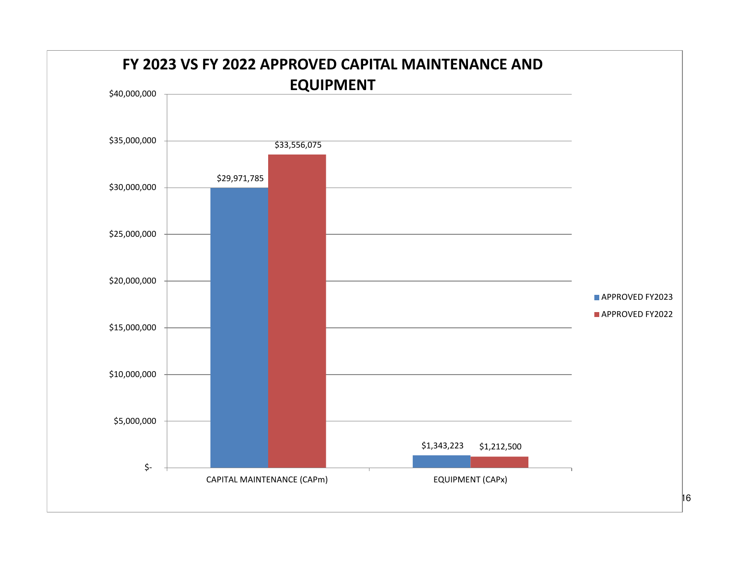

 $|16|$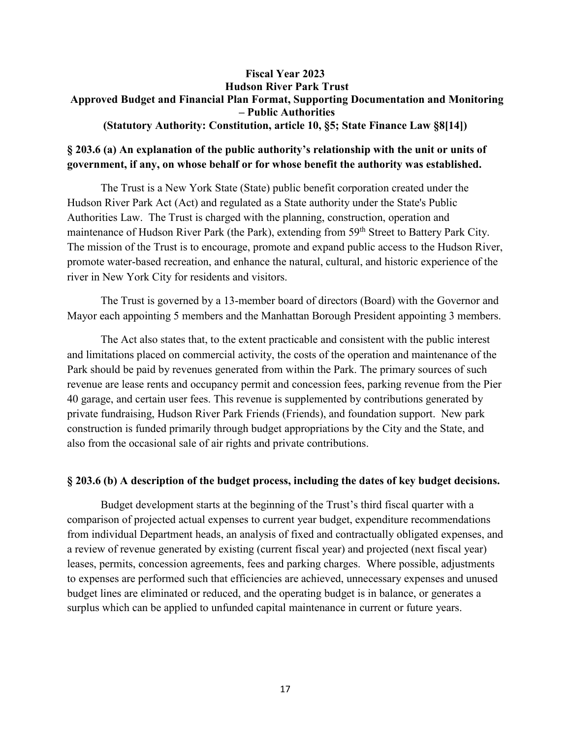#### **Fiscal Year 2023 Hudson River Park Trust Approved Budget and Financial Plan Format, Supporting Documentation and Monitoring – Public Authorities (Statutory Authority: Constitution, article 10, §5; State Finance Law §8[14])**

#### **§ 203.6 (a) An explanation of the public authority's relationship with the unit or units of government, if any, on whose behalf or for whose benefit the authority was established.**

The Trust is a New York State (State) public benefit corporation created under the Hudson River Park Act (Act) and regulated as a State authority under the State's Public Authorities Law. The Trust is charged with the planning, construction, operation and maintenance of Hudson River Park (the Park), extending from 59<sup>th</sup> Street to Battery Park City. The mission of the Trust is to encourage, promote and expand public access to the Hudson River, promote water-based recreation, and enhance the natural, cultural, and historic experience of the river in New York City for residents and visitors.

The Trust is governed by a 13-member board of directors (Board) with the Governor and Mayor each appointing 5 members and the Manhattan Borough President appointing 3 members.

The Act also states that, to the extent practicable and consistent with the public interest and limitations placed on commercial activity, the costs of the operation and maintenance of the Park should be paid by revenues generated from within the Park. The primary sources of such revenue are lease rents and occupancy permit and concession fees, parking revenue from the Pier 40 garage, and certain user fees. This revenue is supplemented by contributions generated by private fundraising, Hudson River Park Friends (Friends), and foundation support. New park construction is funded primarily through budget appropriations by the City and the State, and also from the occasional sale of air rights and private contributions.

#### **§ 203.6 (b) A description of the budget process, including the dates of key budget decisions.**

Budget development starts at the beginning of the Trust's third fiscal quarter with a comparison of projected actual expenses to current year budget, expenditure recommendations from individual Department heads, an analysis of fixed and contractually obligated expenses, and a review of revenue generated by existing (current fiscal year) and projected (next fiscal year) leases, permits, concession agreements, fees and parking charges. Where possible, adjustments to expenses are performed such that efficiencies are achieved, unnecessary expenses and unused budget lines are eliminated or reduced, and the operating budget is in balance, or generates a surplus which can be applied to unfunded capital maintenance in current or future years.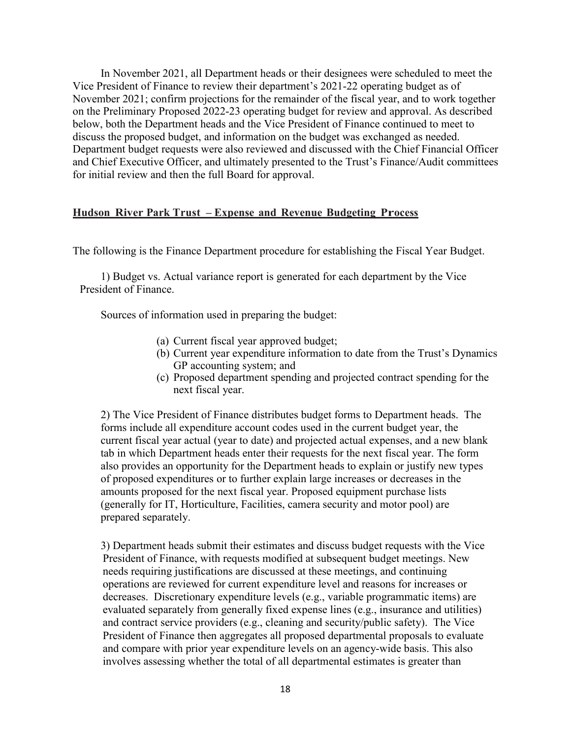In November 2021, all Department heads or their designees were scheduled to meet the Vice President of Finance to review their department's 2021-22 operating budget as of November 2021; confirm projections for the remainder of the fiscal year, and to work together on the Preliminary Proposed 2022-23 operating budget for review and approval. As described below, both the Department heads and the Vice President of Finance continued to meet to discuss the proposed budget, and information on the budget was exchanged as needed. Department budget requests were also reviewed and discussed with the Chief Financial Officer and Chief Executive Officer, and ultimately presented to the Trust's Finance/Audit committees for initial review and then the full Board for approval.

#### **Hudson River Park Trust – Expense and Revenue Budgeting Process**

The following is the Finance Department procedure for establishing the Fiscal Year Budget.

1) Budget vs. Actual variance report is generated for each department by the Vice President of Finance.

Sources of information used in preparing the budget:

- (a) Current fiscal year approved budget;
- (b) Current year expenditure information to date from the Trust's Dynamics GP accounting system; and
- (c) Proposed department spending and projected contract spending for the next fiscal year.

2) The Vice President of Finance distributes budget forms to Department heads. The forms include all expenditure account codes used in the current budget year, the current fiscal year actual (year to date) and projected actual expenses, and a new blank tab in which Department heads enter their requests for the next fiscal year. The form also provides an opportunity for the Department heads to explain or justify new types of proposed expenditures or to further explain large increases or decreases in the amounts proposed for the next fiscal year. Proposed equipment purchase lists (generally for IT, Horticulture, Facilities, camera security and motor pool) are prepared separately.

3) Department heads submit their estimates and discuss budget requests with the Vice President of Finance, with requests modified at subsequent budget meetings. New needs requiring justifications are discussed at these meetings, and continuing operations are reviewed for current expenditure level and reasons for increases or decreases. Discretionary expenditure levels (e.g., variable programmatic items) are evaluated separately from generally fixed expense lines (e.g., insurance and utilities) and contract service providers (e.g., cleaning and security/public safety). The Vice President of Finance then aggregates all proposed departmental proposals to evaluate and compare with prior year expenditure levels on an agency-wide basis. This also involves assessing whether the total of all departmental estimates is greater than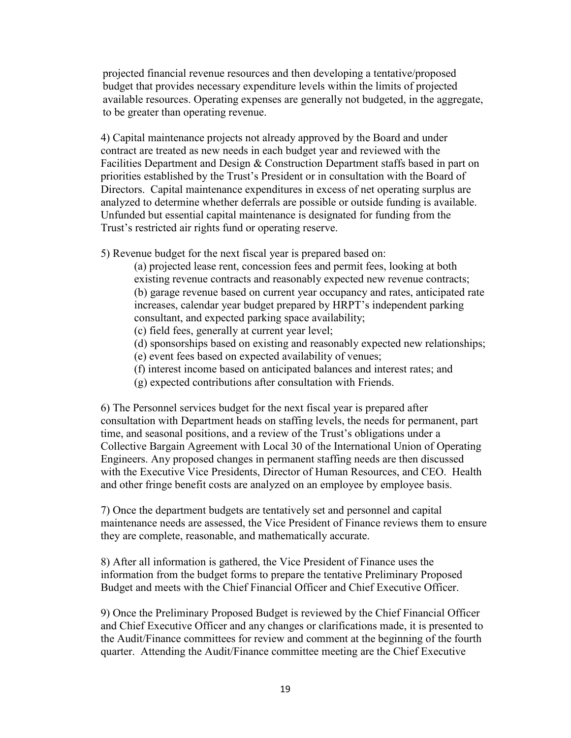projected financial revenue resources and then developing a tentative/proposed budget that provides necessary expenditure levels within the limits of projected available resources. Operating expenses are generally not budgeted, in the aggregate, to be greater than operating revenue.

4) Capital maintenance projects not already approved by the Board and under contract are treated as new needs in each budget year and reviewed with the Facilities Department and Design & Construction Department staffs based in part on priorities established by the Trust's President or in consultation with the Board of Directors. Capital maintenance expenditures in excess of net operating surplus are analyzed to determine whether deferrals are possible or outside funding is available. Unfunded but essential capital maintenance is designated for funding from the Trust's restricted air rights fund or operating reserve.

5) Revenue budget for the next fiscal year is prepared based on:

(a) projected lease rent, concession fees and permit fees, looking at both existing revenue contracts and reasonably expected new revenue contracts; (b) garage revenue based on current year occupancy and rates, anticipated rate increases, calendar year budget prepared by HRPT's independent parking consultant, and expected parking space availability;

- (c) field fees, generally at current year level;
- (d) sponsorships based on existing and reasonably expected new relationships;
- (e) event fees based on expected availability of venues;
- (f) interest income based on anticipated balances and interest rates; and
- (g) expected contributions after consultation with Friends.

6) The Personnel services budget for the next fiscal year is prepared after consultation with Department heads on staffing levels, the needs for permanent, part time, and seasonal positions, and a review of the Trust's obligations under a Collective Bargain Agreement with Local 30 of the International Union of Operating Engineers. Any proposed changes in permanent staffing needs are then discussed with the Executive Vice Presidents, Director of Human Resources, and CEO. Health and other fringe benefit costs are analyzed on an employee by employee basis.

7) Once the department budgets are tentatively set and personnel and capital maintenance needs are assessed, the Vice President of Finance reviews them to ensure they are complete, reasonable, and mathematically accurate.

8) After all information is gathered, the Vice President of Finance uses the information from the budget forms to prepare the tentative Preliminary Proposed Budget and meets with the Chief Financial Officer and Chief Executive Officer.

9) Once the Preliminary Proposed Budget is reviewed by the Chief Financial Officer and Chief Executive Officer and any changes or clarifications made, it is presented to the Audit/Finance committees for review and comment at the beginning of the fourth quarter. Attending the Audit/Finance committee meeting are the Chief Executive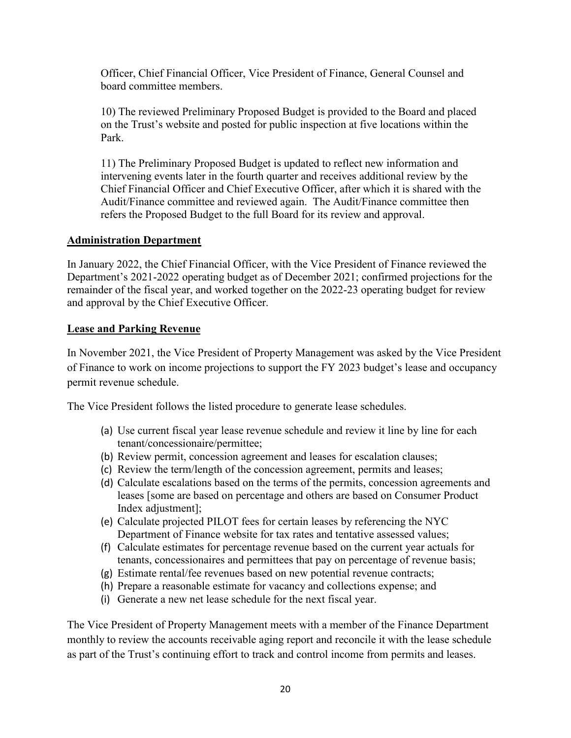Officer, Chief Financial Officer, Vice President of Finance, General Counsel and board committee members.

10) The reviewed Preliminary Proposed Budget is provided to the Board and placed on the Trust's website and posted for public inspection at five locations within the Park.

11) The Preliminary Proposed Budget is updated to reflect new information and intervening events later in the fourth quarter and receives additional review by the Chief Financial Officer and Chief Executive Officer, after which it is shared with the Audit/Finance committee and reviewed again. The Audit/Finance committee then refers the Proposed Budget to the full Board for its review and approval.

#### **Administration Department**

In January 2022, the Chief Financial Officer, with the Vice President of Finance reviewed the Department's 2021-2022 operating budget as of December 2021; confirmed projections for the remainder of the fiscal year, and worked together on the 2022-23 operating budget for review and approval by the Chief Executive Officer.

#### **Lease and Parking Revenue**

In November 2021, the Vice President of Property Management was asked by the Vice President of Finance to work on income projections to support the FY 2023 budget's lease and occupancy permit revenue schedule.

The Vice President follows the listed procedure to generate lease schedules.

- (a) Use current fiscal year lease revenue schedule and review it line by line for each tenant/concessionaire/permittee;
- (b) Review permit, concession agreement and leases for escalation clauses;
- (c) Review the term/length of the concession agreement, permits and leases;
- (d) Calculate escalations based on the terms of the permits, concession agreements and leases [some are based on percentage and others are based on Consumer Product Index adjustment];
- (e) Calculate projected PILOT fees for certain leases by referencing the NYC Department of Finance website for tax rates and tentative assessed values;
- (f) Calculate estimates for percentage revenue based on the current year actuals for tenants, concessionaires and permittees that pay on percentage of revenue basis;
- (g) Estimate rental/fee revenues based on new potential revenue contracts;
- (h) Prepare a reasonable estimate for vacancy and collections expense; and
- (i) Generate a new net lease schedule for the next fiscal year.

The Vice President of Property Management meets with a member of the Finance Department monthly to review the accounts receivable aging report and reconcile it with the lease schedule as part of the Trust's continuing effort to track and control income from permits and leases.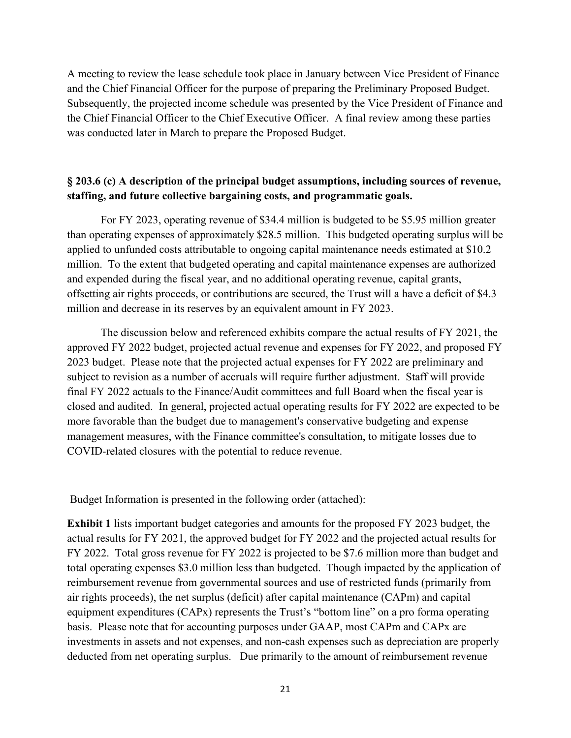A meeting to review the lease schedule took place in January between Vice President of Finance and the Chief Financial Officer for the purpose of preparing the Preliminary Proposed Budget. Subsequently, the projected income schedule was presented by the Vice President of Finance and the Chief Financial Officer to the Chief Executive Officer. A final review among these parties was conducted later in March to prepare the Proposed Budget.

### **§ 203.6 (c) A description of the principal budget assumptions, including sources of revenue, staffing, and future collective bargaining costs, and programmatic goals.**

For FY 2023, operating revenue of \$34.4 million is budgeted to be \$5.95 million greater than operating expenses of approximately \$28.5 million. This budgeted operating surplus will be applied to unfunded costs attributable to ongoing capital maintenance needs estimated at \$10.2 million. To the extent that budgeted operating and capital maintenance expenses are authorized and expended during the fiscal year, and no additional operating revenue, capital grants, offsetting air rights proceeds, or contributions are secured, the Trust will a have a deficit of \$4.3 million and decrease in its reserves by an equivalent amount in FY 2023.

The discussion below and referenced exhibits compare the actual results of FY 2021, the approved FY 2022 budget, projected actual revenue and expenses for FY 2022, and proposed FY 2023 budget. Please note that the projected actual expenses for FY 2022 are preliminary and subject to revision as a number of accruals will require further adjustment. Staff will provide final FY 2022 actuals to the Finance/Audit committees and full Board when the fiscal year is closed and audited. In general, projected actual operating results for FY 2022 are expected to be more favorable than the budget due to management's conservative budgeting and expense management measures, with the Finance committee's consultation, to mitigate losses due to COVID-related closures with the potential to reduce revenue.

Budget Information is presented in the following order (attached):

**Exhibit 1** lists important budget categories and amounts for the proposed FY 2023 budget, the actual results for FY 2021, the approved budget for FY 2022 and the projected actual results for FY 2022. Total gross revenue for FY 2022 is projected to be \$7.6 million more than budget and total operating expenses \$3.0 million less than budgeted. Though impacted by the application of reimbursement revenue from governmental sources and use of restricted funds (primarily from air rights proceeds), the net surplus (deficit) after capital maintenance (CAPm) and capital equipment expenditures (CAPx) represents the Trust's "bottom line" on a pro forma operating basis. Please note that for accounting purposes under GAAP, most CAPm and CAPx are investments in assets and not expenses, and non-cash expenses such as depreciation are properly deducted from net operating surplus. Due primarily to the amount of reimbursement revenue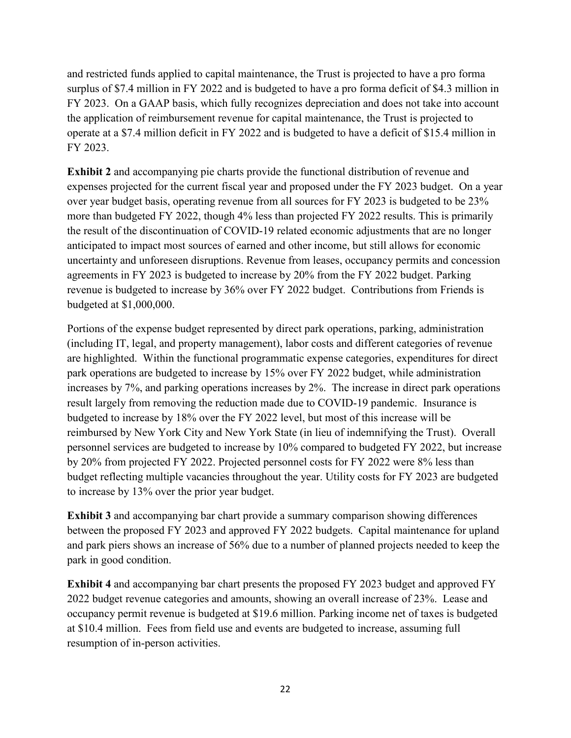and restricted funds applied to capital maintenance, the Trust is projected to have a pro forma surplus of \$7.4 million in FY 2022 and is budgeted to have a pro forma deficit of \$4.3 million in FY 2023. On a GAAP basis, which fully recognizes depreciation and does not take into account the application of reimbursement revenue for capital maintenance, the Trust is projected to operate at a \$7.4 million deficit in FY 2022 and is budgeted to have a deficit of \$15.4 million in FY 2023.

**Exhibit 2** and accompanying pie charts provide the functional distribution of revenue and expenses projected for the current fiscal year and proposed under the FY 2023 budget. On a year over year budget basis, operating revenue from all sources for FY 2023 is budgeted to be 23% more than budgeted FY 2022, though 4% less than projected FY 2022 results. This is primarily the result of the discontinuation of COVID-19 related economic adjustments that are no longer anticipated to impact most sources of earned and other income, but still allows for economic uncertainty and unforeseen disruptions. Revenue from leases, occupancy permits and concession agreements in FY 2023 is budgeted to increase by 20% from the FY 2022 budget. Parking revenue is budgeted to increase by 36% over FY 2022 budget. Contributions from Friends is budgeted at \$1,000,000.

Portions of the expense budget represented by direct park operations, parking, administration (including IT, legal, and property management), labor costs and different categories of revenue are highlighted. Within the functional programmatic expense categories, expenditures for direct park operations are budgeted to increase by 15% over FY 2022 budget, while administration increases by 7%, and parking operations increases by 2%. The increase in direct park operations result largely from removing the reduction made due to COVID-19 pandemic. Insurance is budgeted to increase by 18% over the FY 2022 level, but most of this increase will be reimbursed by New York City and New York State (in lieu of indemnifying the Trust). Overall personnel services are budgeted to increase by 10% compared to budgeted FY 2022, but increase by 20% from projected FY 2022. Projected personnel costs for FY 2022 were 8% less than budget reflecting multiple vacancies throughout the year. Utility costs for FY 2023 are budgeted to increase by 13% over the prior year budget.

**Exhibit 3** and accompanying bar chart provide a summary comparison showing differences between the proposed FY 2023 and approved FY 2022 budgets. Capital maintenance for upland and park piers shows an increase of 56% due to a number of planned projects needed to keep the park in good condition.

**Exhibit 4** and accompanying bar chart presents the proposed FY 2023 budget and approved FY 2022 budget revenue categories and amounts, showing an overall increase of 23%. Lease and occupancy permit revenue is budgeted at \$19.6 million. Parking income net of taxes is budgeted at \$10.4 million. Fees from field use and events are budgeted to increase, assuming full resumption of in-person activities.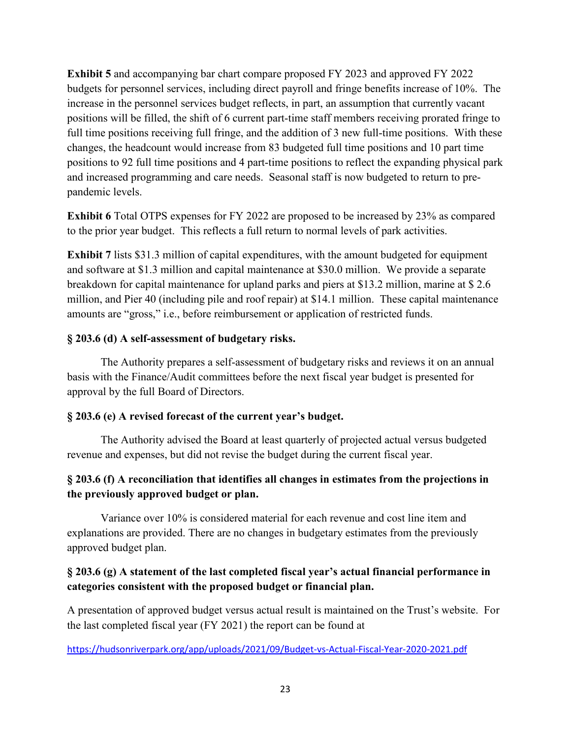**Exhibit 5** and accompanying bar chart compare proposed FY 2023 and approved FY 2022 budgets for personnel services, including direct payroll and fringe benefits increase of 10%. The increase in the personnel services budget reflects, in part, an assumption that currently vacant positions will be filled, the shift of 6 current part-time staff members receiving prorated fringe to full time positions receiving full fringe, and the addition of 3 new full-time positions. With these changes, the headcount would increase from 83 budgeted full time positions and 10 part time positions to 92 full time positions and 4 part-time positions to reflect the expanding physical park and increased programming and care needs. Seasonal staff is now budgeted to return to prepandemic levels.

**Exhibit 6** Total OTPS expenses for FY 2022 are proposed to be increased by 23% as compared to the prior year budget. This reflects a full return to normal levels of park activities.

**Exhibit 7** lists \$31.3 million of capital expenditures, with the amount budgeted for equipment and software at \$1.3 million and capital maintenance at \$30.0 million. We provide a separate breakdown for capital maintenance for upland parks and piers at \$13.2 million, marine at \$ 2.6 million, and Pier 40 (including pile and roof repair) at \$14.1 million. These capital maintenance amounts are "gross," i.e., before reimbursement or application of restricted funds.

#### **§ 203.6 (d) A self-assessment of budgetary risks.**

The Authority prepares a self-assessment of budgetary risks and reviews it on an annual basis with the Finance/Audit committees before the next fiscal year budget is presented for approval by the full Board of Directors.

#### **§ 203.6 (e) A revised forecast of the current year's budget.**

The Authority advised the Board at least quarterly of projected actual versus budgeted revenue and expenses, but did not revise the budget during the current fiscal year.

## **§ 203.6 (f) A reconciliation that identifies all changes in estimates from the projections in the previously approved budget or plan.**

Variance over 10% is considered material for each revenue and cost line item and explanations are provided. There are no changes in budgetary estimates from the previously approved budget plan.

## **§ 203.6 (g) A statement of the last completed fiscal year's actual financial performance in categories consistent with the proposed budget or financial plan.**

A presentation of approved budget versus actual result is maintained on the Trust's website. For the last completed fiscal year (FY 2021) the report can be found at

<https://hudsonriverpark.org/app/uploads/2021/09/Budget-vs-Actual-Fiscal-Year-2020-2021.pdf>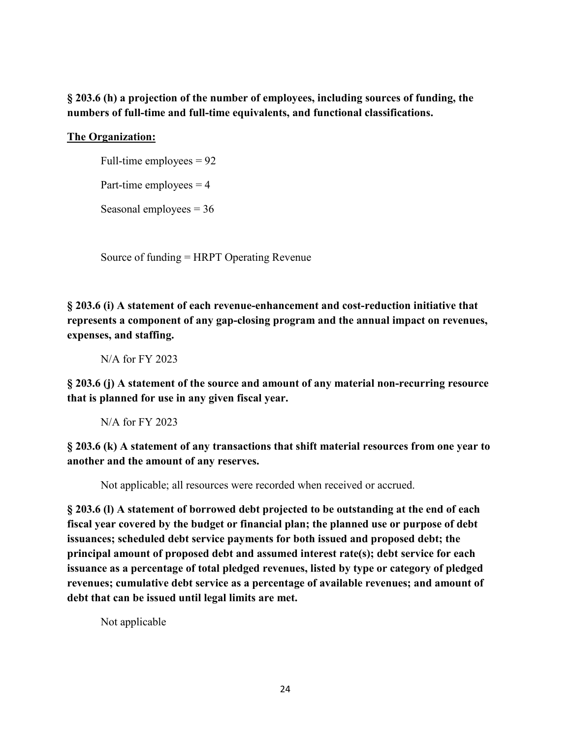## **§ 203.6 (h) a projection of the number of employees, including sources of funding, the numbers of full-time and full-time equivalents, and functional classifications.**

## **The Organization:**

Full-time employees  $= 92$ 

Part-time employees  $= 4$ 

Seasonal employees  $= 36$ 

Source of funding = HRPT Operating Revenue

**§ 203.6 (i) A statement of each revenue-enhancement and cost-reduction initiative that represents a component of any gap-closing program and the annual impact on revenues, expenses, and staffing.**

N/A for FY 2023

**§ 203.6 (j) A statement of the source and amount of any material non-recurring resource that is planned for use in any given fiscal year.**

N/A for FY 2023

**§ 203.6 (k) A statement of any transactions that shift material resources from one year to another and the amount of any reserves.**

Not applicable; all resources were recorded when received or accrued.

**§ 203.6 (l) A statement of borrowed debt projected to be outstanding at the end of each fiscal year covered by the budget or financial plan; the planned use or purpose of debt issuances; scheduled debt service payments for both issued and proposed debt; the principal amount of proposed debt and assumed interest rate(s); debt service for each issuance as a percentage of total pledged revenues, listed by type or category of pledged revenues; cumulative debt service as a percentage of available revenues; and amount of debt that can be issued until legal limits are met.**

Not applicable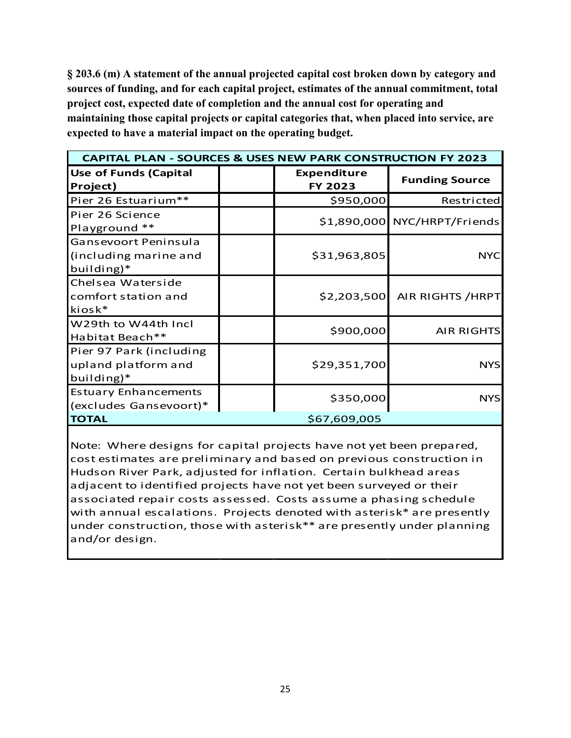**§ 203.6 (m) A statement of the annual projected capital cost broken down by category and sources of funding, and for each capital project, estimates of the annual commitment, total project cost, expected date of completion and the annual cost for operating and maintaining those capital projects or capital categories that, when placed into service, are expected to have a material impact on the operating budget.**

| <b>CAPITAL PLAN - SOURCES &amp; USES NEW PARK CONSTRUCTION FY 2023</b> |  |                                      |                               |  |  |
|------------------------------------------------------------------------|--|--------------------------------------|-------------------------------|--|--|
| <b>Use of Funds (Capital</b><br>Project)                               |  | <b>Expenditure</b><br><b>FY 2023</b> | <b>Funding Source</b>         |  |  |
| Pier 26 Estuarium**                                                    |  | \$950,000                            | Restricted                    |  |  |
| Pier 26 Science<br>Playground **                                       |  |                                      | \$1,890,000 NYC/HRPT/Friends  |  |  |
| Gansevoort Peninsula<br>(including marine and<br>building)*            |  | \$31,963,805                         | <b>NYC</b>                    |  |  |
| Chelsea Waterside<br>comfort station and<br>kiosk*                     |  |                                      | \$2,203,500 AIR RIGHTS / HRPT |  |  |
| W29th to W44th Incl<br>Habitat Beach**                                 |  | \$900,000                            | <b>AIR RIGHTS</b>             |  |  |
| Pier 97 Park (including<br>upland platform and<br>building)*           |  | \$29,351,700                         | <b>NYS</b>                    |  |  |
| <b>Estuary Enhancements</b><br>(excludes Gansevoort)*                  |  | \$350,000                            | <b>NYS</b>                    |  |  |
| <b>TOTAL</b>                                                           |  | \$67,609,005                         |                               |  |  |

Note: Where designs for capital projects have not yet been prepared, cost estimates are preliminary and based on previous construction in Hudson River Park, adjusted for inflation. Certain bulkhead areas adjacent to identified projects have not yet been surveyed or their associated repair costs assessed. Costs assume a phasing schedule with annual escalations. Projects denoted with asterisk\* are presently under construction, those with asterisk\*\* are presently under planning and/or design.